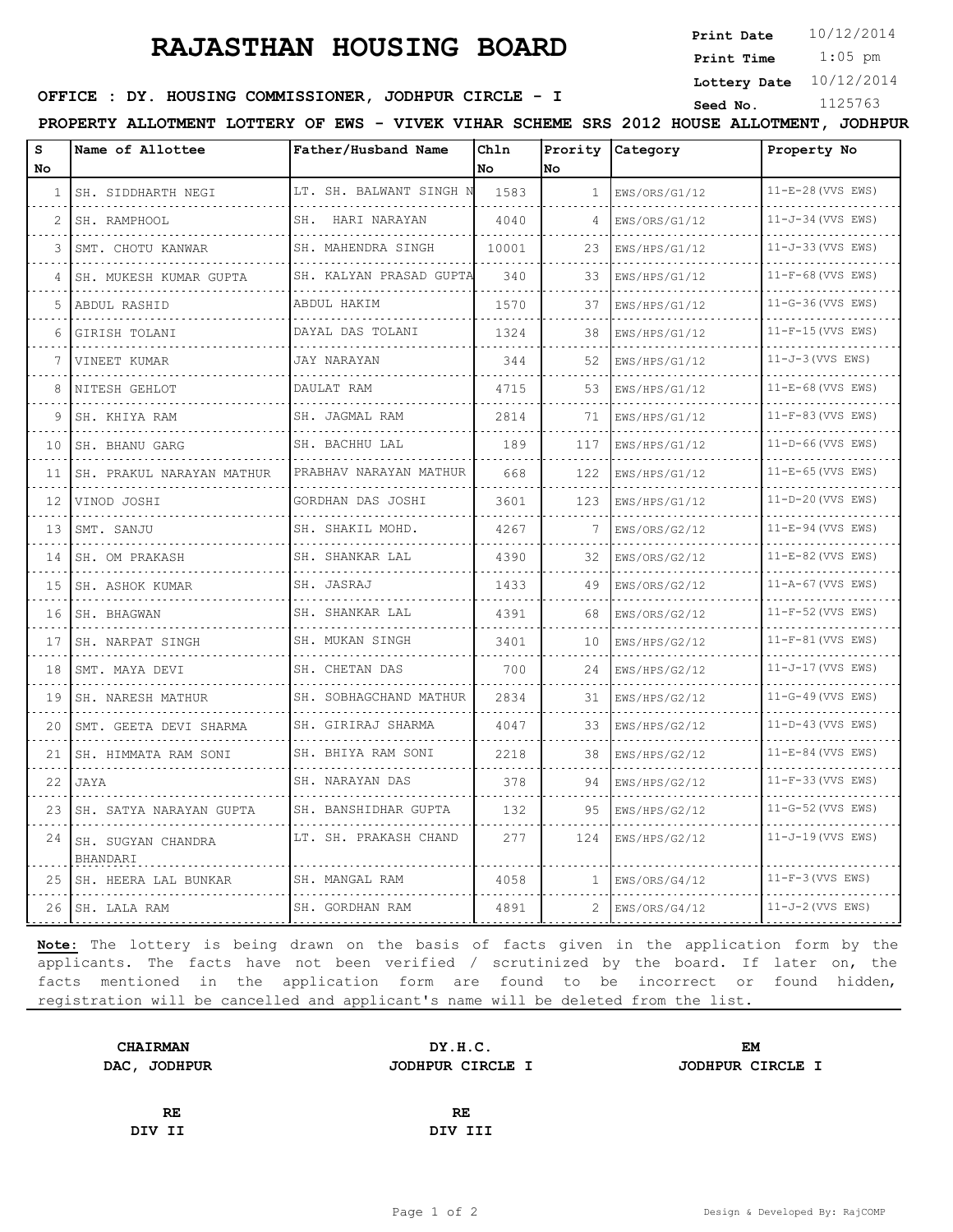# **RAJASTHAN HOUSING BOARD**

**Print Date**  $10/12/2014$ 

 1:05 pm **Print Time**

**Lottery Date** 10/12/2014

### **SEED : DY. HOUSING COMMISSIONER, JODHPUR CIRCLE - I** Seed No. 1125763

**PROPERTY ALLOTMENT LOTTERY OF EWS - VIVEK VIHAR SCHEME SRS 2012 HOUSE ALLOTMENT, JODHPUR**

| s<br>No | Name of Allottee               | Father/Husband Name            | Chln<br>No. | lno          | Prority Category   | Property No                     |
|---------|--------------------------------|--------------------------------|-------------|--------------|--------------------|---------------------------------|
| 1       | SH. SIDDHARTH NEGI             | LT. SH. BALWANT SINGH N        | 1583        | $\mathbf{1}$ | EWS/ORS/G1/12      | $11-E-28$ (VVS EWS)             |
|         | SH. RAMPHOOL                   | SH. HARI NARAYAN               | 4040        | 4            | .<br>EWS/ORS/G1/12 | .<br>$11-J-34$ (VVS EWS)        |
| 3       | SMT. CHOTU KANWAR              | .<br>SH. MAHENDRA SINGH        | 10001       | 23           | EWS/HPS/G1/12      | 11-J-33 (VVS EWS)               |
|         | SH. MUKESH KUMAR GUPTA         | SH. KALYAN PRASAD GUPTA        | 340         | 33           | EWS/HPS/G1/12      | $11-F-68$ (VVS EWS)             |
| 5       | ABDUL RASHID                   | ABDUL HAKIM                    | 1570        | 37           | .<br>EWS/HPS/G1/12 | $11-G-36$ (VVS EWS)             |
| 6       | GIRISH TOLANI                  | DAYAL DAS TOLANI               | 1324        | 38           | .<br>EWS/HPS/G1/12 | $11-F-15$ (VVS EWS)             |
|         | VINEET KUMAR                   | <b>JAY NARAYAN</b>             | 344         | 52           | EWS/HPS/G1/12      | $11-J-3$ (VVS EWS)              |
| 8       | NITESH GEHLOT                  | DAULAT RAM                     | 4715        | 53           | EWS/HPS/G1/12      | $11-E-68$ (VVS EWS)             |
| 9       | SH. KHIYA RAM                  | SH. JAGMAL RAM                 | 2814        | 71           | EWS/HPS/G1/12      | $11-F-83$ (VVS EWS)             |
| 10      | SH. BHANU GARG                 | SH. BACHHU LAL<br>.            | 189         | 117          | EWS/HPS/G1/12      | $11-D-66$ (VVS EWS)             |
| 11      | SH. PRAKUL NARAYAN MATHUR      | PRABHAV NARAYAN MATHUR         | 668         | 122          | EWS/HPS/G1/12      | $11-E-65$ (VVS EWS)             |
| 12      | VINOD JOSHI                    | GORDHAN DAS JOSHI<br>.         | 3601        | 123          | EWS/HPS/G1/12<br>. | 11-D-20 (VVS EWS)               |
| 13      | SMT. SANJU                     | SH. SHAKIL MOHD.<br>.          | 4267        | 7            | EWS/ORS/G2/12      | $11-E-94$ (VVS EWS)             |
| 14      | SH. OM PRAKASH                 | SH. SHANKAR LAL                | 4390        | 32           | EWS/ORS/G2/12      | $11-E-82$ (VVS EWS)<br><u>.</u> |
| 15      | SH. ASHOK KUMAR                | SH. JASRAJ                     | 1433        | 49           | EWS/ORS/G2/12      | $11 - A - 67$ (VVS EWS)         |
| 16      | SH. BHAGWAN                    | SH. SHANKAR LAL                | 4391        | 68           | EWS/ORS/G2/12      | $11-F-52$ (VVS EWS)             |
| 17      | SH. NARPAT SINGH               | SH. MUKAN SINGH<br>.           | 3401        | 10           | EWS/HPS/G2/12      | $11-F-81$ (VVS EWS)             |
| 18      | SMT. MAYA DEVI                 | SH. CHETAN DAS                 | 700         | 24           | EWS/HPS/G2/12      | $11 - J - 17$ (VVS EWS)         |
| 19      | SH. NARESH MATHUR              | SH. SOBHAGCHAND MATHUR         | 2834        | 31           | EWS/HPS/G2/12      | $11-G-49$ (VVS EWS)             |
| 20      | SMT. GEETA DEVI SHARMA         | SH. GIRIRAJ SHARMA<br><u>.</u> | 4047        | 33<br>$   -$ | EWS/HPS/G2/12      | $11-D-43$ (VVS EWS)<br>.        |
| 21      | SH. HIMMATA RAM SONI           | SH. BHIYA RAM SONI<br>.        | 2218        | 38           | EWS/HPS/G2/12<br>. | $11-E-84$ (VVS EWS)             |
| 22      | JAYA                           | SH. NARAYAN DAS                | 378         | 94           | EWS/HPS/G2/12      | $11-F-33$ (VVS EWS)             |
| 23      | SH. SATYA NARAYAN GUPTA        | SH. BANSHIDHAR GUPTA           | 132         | 95           | EWS/HPS/G2/12      | $11-G-52$ (VVS EWS)             |
| 24      | SH. SUGYAN CHANDRA<br>BHANDARI | LT. SH. PRAKASH CHAND          | 277         | 124          | EWS/HPS/G2/12      | $11-J-19$ (VVS EWS)             |
| 25      | SH. HEERA LAL BUNKAR           | SH. MANGAL RAM                 | 4058        | 1            | EWS/ORS/G4/12      | $11-F-3$ (VVS EWS)              |
|         | 26 SH. LALA RAM                | SH. GORDHAN RAM                | 4891        | 2            | EWS/ORS/G4/12      | $11-J-2$ (VVS EWS)              |

**Note:** The lottery is being drawn on the basis of facts given in the application form by the applicants. The facts have not been verified / scrutinized by the board. If later on, the facts mentioned in the application form are found to be incorrect or found hidden, registration will be cancelled and applicant's name will be deleted from the list.

| <b>CHAIRMAN</b> | DY.H.C.          | EM               |  |  |
|-----------------|------------------|------------------|--|--|
| DAC, JODHPUR    | JODHPUR CIRCLE I | JODHPUR CIRCLE I |  |  |
|                 |                  |                  |  |  |
| RE              | <b>RE</b>        |                  |  |  |

**DIV II DIV III**